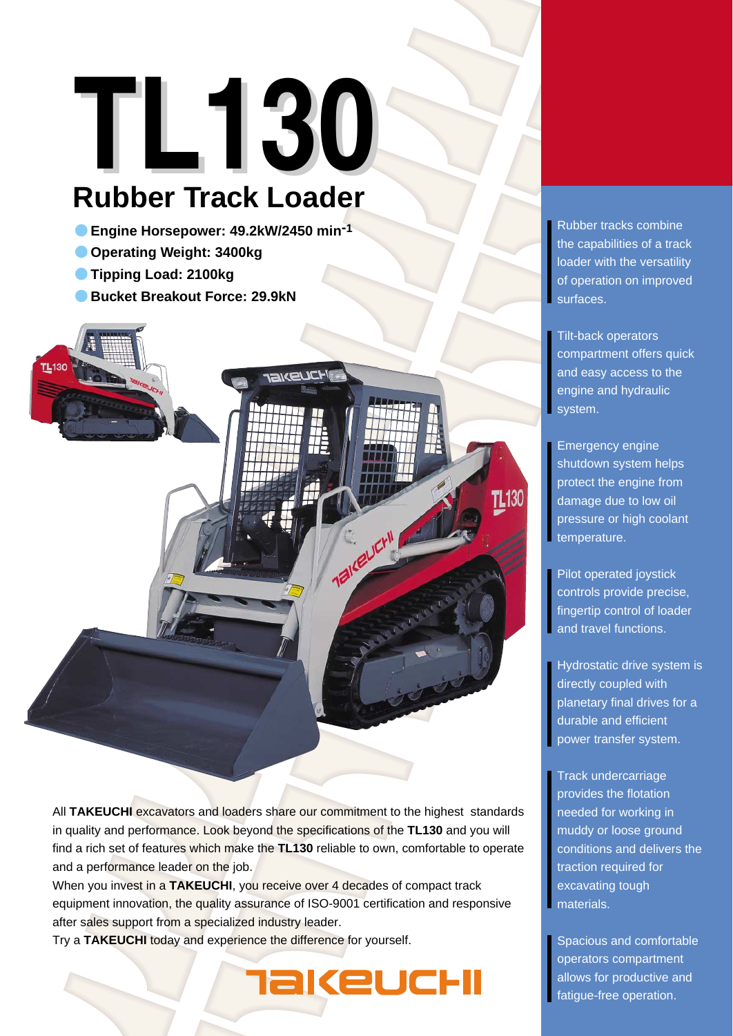# **TL130**

## **Rubber Track Loader**

- ●**Engine Horsepower: 49.2kW/2450 min-1**
- ●**Operating Weight: 3400kg**
- ●**Tipping Load: 2100kg**
- ●**Bucket Breakout Force: 29.9kN**

**IAKEUCH TL130** Taikeuch! All **TAKEUCHI** excavators and loaders share our commitment to the highest standards

in quality and performance. Look beyond the specifications of the **TL130** and you will find a rich set of features which make the **TL130** reliable to own, comfortable to operate and a performance leader on the job.

When you invest in a **TAKEUCHI**, you receive over 4 decades of compact track equipment innovation, the quality assurance of ISO-9001 certification and responsive after sales support from a specialized industry leader.

akeuchi

Try a **TAKEUCHI** today and experience the difference for yourself.

Rubber tracks combine the capabilities of a track loader with the versatility of operation on improved surfaces.

Tilt-back operators compartment offers quick and easy access to the engine and hydraulic system.

Emergency engine shutdown system helps protect the engine from damage due to low oil pressure or high coolant temperature.

Pilot operated joystick controls provide precise, fingertip control of loader and travel functions.

Hydrostatic drive system is directly coupled with planetary final drives for a durable and efficient power transfer system.

Track undercarriage provides the flotation needed for working in muddy or loose ground conditions and delivers the traction required for excavating tough materials.

Spacious and comfortable operators compartment allows for productive and fatigue-free operation.